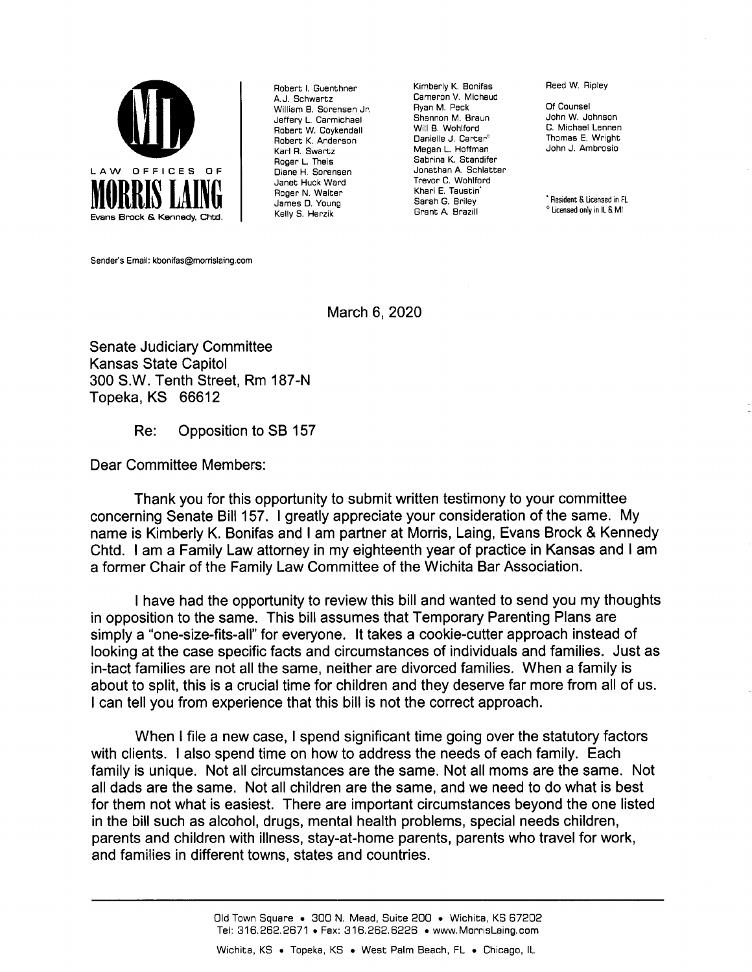

Robert I. Guenthner A.J. Schwartz William B. Sorensen Jr Jeffery L. Carmichael Robert W. Coykendall Robert K. Anderson Karl R. Swartz Roger L. Theis Diane H. Sorensen Janet Huck Ward Roger N. Walter James D. Young Kelly S. Herzik

Kimberly K. Bonifas Cameron V. Michaud Ryan M. Peck Shannon M. Braun Will B. Wohlford Danielle J. Carter° Megan L. Hoffman Sabrina K. Standifer Jonathan A. Schlatter Trevor C. Wohlford Khari E. Taustin' Sarah G. Briley Grant A. Brazill

Reed W. Ripley

Of Counsel John W. Johnson C. Michael Lennen Thomas E. Wright John J. Ambrosio

Resident &Licensed in FL  $^{\circ}$  Licensed only in IL & MI

Sender's Email: kbonifas@morrislaing.com

## March 6, 2020

Senate Judiciary Committee Kansas State Capitol 300 S.W. Tenth Street, Rm 187-N Topeka, KS 66612

Re: Opposition to SB 157

Dear Committee Members:

Thank you for this opportunity to submit written testimony to your committee concerning Senate Bill 157. I greatly appreciate your consideration of the same. My name is Kimberly K. Bonifas and I am partner at Morris, Laing, Evans Brock & Kennedy Chtd. I am a Family Law attorney in my eighteenth year of practice in Kansas and I am a former Chair of the Family Law Committee of the Wichita Bar Association.

have had the opportunity to review this bill and wanted to send you my thoughts in opposition to the same. This bill assumes that Temporary Parenting Plans are simply a "one-size-fits-all" for everyone. It takes a cookie-cutter approach instead of looking at the case specific facts and circumstances of individuals and families. Just as in-tact families are not all the same, neither are divorced families. When a family is about to split, this is a crucial time for children and they deserve far more from all of us. I can tell you from experience that this bill is not the correct approach.

When I file a new case, I spend significant time going over the statutory factors with clients. I also spend time on how to address the needs of each family. Each family is unique. Not all circumstances are the same. Not all moms are the same. Not all dads are the same. Not all children are the same, and we need to do what is best for them not what is easiest. There are important circumstances beyond the one listed in the bill such as alcohol, drugs, mental health problems, special needs children, parents and children with illness, stay-at-home parents, parents who travel for work, and families in different towns, states and countries.

Old Town Square • 300 N. Mead, Suite 200 • Wichita, KS 67202<br>Tel: 316.262.2671 • Fax: 316.262.6226 • www.MorrisLaing.com